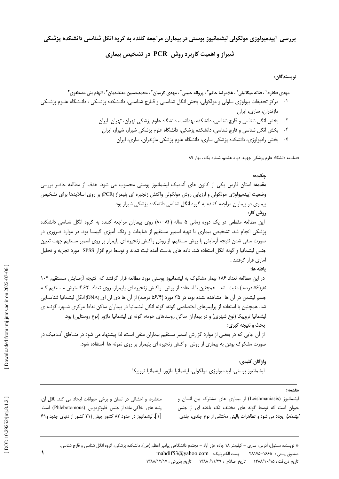بررسی ِ اپیدمیولوژی مولکولی لیشمانیوز پوستی در بیماران مراجعه کننده به گروه انگل شناسی دانشکده پزشکی

# شیراز و اهمیت کاربرد روش PCR در تشخیص بیماری

نويسندگان:

- ۱- مرکز تحقیقات بیولوژی سلولی و مولکولی، بخش انگل شناسی و قـارچ شناسـی، دانـشکده پزشـکی ، دانـشگاه علـوم پزشـکی مازندران، ساری، ایران
	- ۲- بخش انگل شناسی و قارچ شناسی، دانشکده بهداشت، دانشگاه علوم پزشکی تهران، تهران، ایران
		- ۳- بخش انگل شناسی و قارچ شناسی، دانشکده پزشکی، دانشگاه علوم پزشکی شیراز، شیراز، ایران
			- ٤- بخش رادیولوژی، دانشکده پزشکی ساری، دانشگاه علوم پزشکی مازندران، ساری، ایران

فصلنامه دانشگاه علوم پزشکی جهرم، دوره هشتم، شماره یک ، بهار ۸۹

## چکیده:

مقدمه: استان فارس یکی از کانون های آندمیک لیشمانیوز پوستی محسوب می شود. هدف از مطالعه حاضر بررسی وضعیت اپیدمیولوژی مولکولی و ارزیابی روش مولکولی واکنش زنجیره ای پلیمراز (PCR) بر روی اسلایدها برای تشخیص بیماری در بیماران مراجعه کننده به گروه انگل شناسی دانشکده پزشکی شیراز بود. روش کار: این مطالعه مقطعی در یک دوره زمانی ۵ ساله (۸۴-۸۰) روی بیماران مراجعه کننده به گروه انگل شناسی دانشکده پزشکی انجام شد. تشخیص بیماری با تهیه اسمیر مستقیم از ضایعات و رنگ آمیزی گیمسا بود. در موارد ضروری در صورت منفی شدن نتیجه آزمایش با روش مستقیم، از روش واکنش زنجیره ای پلیمراز بر روی اسمیر مستقیم جهت تعیین جنس لیشمانیا و گونه انگل استفاده شد. داده های بدست آمده ثبت شدند و توسط نرم افزار SPSS مورد تجزیه و تحلیل آماری قرار گرفتند .

## يافته ها:

در این مطالعه تعداد ۱۸۶ بیمار مشکوک به لیشمانیوز پوستی مورد مطالعه قرار گرفتند که نتیجه آزمـایش مـستقیم ۱۰۴ نفر(۵۶ درصد) مثبت شد. همچنین با استفاده از روش واکنش زنجیره ای پلیمراز، روی تعداد ۶۲ گسترش مـستقیم کـه جسم لیشمن در آن ها مشاهده نشده بود، در ۳۵ مورد (۵۶/۴ درصد) از آن ها دی ان ای (DNA) انگل لیشمانیا شناسـایی شد. همچنین با استفاده از پرایمرهای اختصاصی گونه، گونه انگل لیشمانیا در بیماران ساکن نقاط مرکزی شـهر، گونــه ی لیشمانیا تروپیکا (نوع شهری) و در بیماران ساکن روستاهای حومه، گونه ی لیشمانیا ماژور (نوع روستایی) بود.

# بحث و نتيجه گيري:

از آن جایی که در بعضی از موارد گزارش اسمیر مستقیم بیماران منفی است، لذا پیشنهاد می شود در منـاطق آنـدمیک در صورت مشکوک بودن به بیماری از روش واکنش زنجیره ای پلیمراز بر روی نمونه ها استفاده شود.

> واژگان کليدي: لیشمانیوز پوستی، اپیدمیولوژی مولکولی، لیشمانیا ماژور، لیشمانیا تروپیکا

### مقدمه:

لیشمانیوز (Leishmaniasis) از بیماری های مشترک بین انسان و حیوان است که توسط گونه های مختلف تک یاخته ای از جنس *لیشمانیا* ایجاد می شود و تظاهرات بالینی مختلفی از نوع جلدی، جلدی

منتشره، و احشائی در انسان و برخی حیوانات ایجاد می کند. ناقل آن، یشه های خاکی ماده از جنس فلبوتوموس (Phlebotomous) است [۱]. لیشمانیوز در حدود ۸۲ کشور جهان (۲۱ کشور از دنیای جدید و۶۱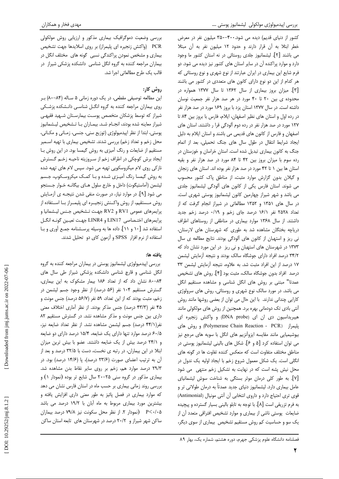کشور از دنیای قدیم) دیده می شود.۴۰۰-۳۵۰ میلیون نفر در معرض خطر ابتلا به آن قرار دارند و حدود ١٢ ميليون نفر به آن مبتلا می باشند [۲]. لیشمانیوز جلدی روستائی در نه استان کشور ما وجود دارد و موارد پراکنده آن در سایر استان های کشور نیز دیده می شود. دو فرم شایع این بیماری در ایران عبارتند از نوع شهری و نوع روستائی که هر کدام از این دو نوع دارای کانون های متعددی در کشور می باشند [۳]. میزان بروز بیماری از سال ۱۳۶۲ تا سال ۱۳۷۷ همواره در محدوده ی بین ٢٠ تا ۴٠ مورد در هر صد هزار نفر جمعیت نوسان داشته است. در سال ۱۳۷۷ استان یزد با بروز ۱۶۹ مورد در صد هزار نفر در رده اول و استان های نظیر اصفهان، ایلام، فارس با بروز بین ۸۴ تا ۱۲۷ مورد در صد هزار نفر در رده دوم آلودگی قرا ر داشتند. استان های اصفهان و فارس از کانون های قدیمی می باشند و استان ایلام به دلیل ایجاد شرایط انتقال در طول سال های جنگ تحمیلی، بعد از اتمام جنگ به کانون بیماری تبدیل شده است. استان خراسان و خوزستان در رده سوم با میزان بروز بین ۴۲ تا ۸۴ مورد در صد هزار نفر و بقیه استان ها بین ١ تا ۴۲ مورد در صد هزار نفر بوده اند. استان های زنجان و گیلان بدون گزارش موارد مثبت، از مناطق پاک کشور محسوب می شوند. استان فارس یکی از کانون های آلودگی لیشمانیوز جلدی می باشد و شهر شیراز چهارمین کانون لیشمانیوز پوستی شهری است. در سال های ۱۳۵۱ و ۱۳۵۲ مطالعاتی در شیراز انجام گرفت که از تعداد ۲۵۲۸ نفر ۱۶/۱ درصد جای زخم و ۰/۱۹ درصد زخم جدید داشتند. از سال ۱۳۶۸ موارد بیماری در مناطقی از روستاهای اطراف دریاچه بختگان مشاهده شد به طوری که شهرستان های لارستان، نی ریز و استهبان از کانون های آلودگی بودند. نتایج مطالعه ی سال ١٣٧٣ در شهرستان های استهبان و نی ریز در این مورد نشان داد که ۳۴/۲ درصد افراد دارای جوشگاه سالک بودند و نتیجه آزمایش لیشمن ١٧ درصد از اين افراد مثبت شد. به علاوه، نتيجه آزمايش ليشمن ٣٣ درصد افراد بدون جوشگاه سالک، مثبت بود [۴]. روش های تشخیص عمدتا" مبتنی بر روش های انگل شناسی و مشاهده مستقیم انگل می باشد. در مورد سالک نوع شهری و روستائی، روش های سرولوژی کارایی چندانی ندارند. با این حال می توان از بعضی روشها مانند روش آنتی بادی تک دودمانی بهره برد. همچنین از روش های مولکولی مانند هیبریداسیون دی ان ای (DNA probe) و واکنش زنجیره ای پلیمراز (Polymerase Chain Reaction - PCR) و روش های بیوشیمیایی مانند مقایسه ایزوآنزیم های انگل با سویه های مرجع نیز می توان استفاده کرد [۵ و ۶]. شکل های بالینی لیشمانیوز پوستی در مناطق مختلف متفاوت است كه منعكس كننده تفاوت ها در گونه هاى انگلی است. یک شکل معمول شروع زخم با ایجاد اولیه یک ندول در محل نیش پشه است که در نهایت به تشکیل زخم منتهی می شود [Y]. به طور کلی درمان موثر بستگی به شناخت سوش لیشمانیای عامل بیماری دارد. لیشمانیوز دنیای جدید عمدتاً به درمان طولانی تر و قوى ترى احتياج دارد و داروى انتخابى أن أنتى مونيال (Antimonial) به فرم تزریقی است [۸]. با توجه به تابلو بالینی بسیار گسترده و پیچیده ضایعات پوستی ناشی از بیماری و موارد تشخیص افتراقی متعدد آن از یک سو و حساسیت کم روش مستقیم تشخیص بیماری از سوی دیگر،

۲

بررسی وضعیت دموگرافیک بیماری مذکور و ارزیابی روش مولکولی PCR (واكنش زنجيره اي پليمراز) بر روى اسلايدها جهت تشخيص بیماری و مشخص نمودن پراکندگی نسبی گونه های مختلف انگل در بیماران مراجعه کننده به گروه انگل شناسی دانشکده پزشکی شیراز در قالب یک طرح مطالعاتی اجرا شد.

# روش کار:

این مطالعه توصیفی مقطعی، در یک دوره زمانی ۵ ساله (۸۴–۸۰) بر روی بیماران مراجعه کننده به گروه انگــل شناسـی دانــشکده پزشــکی شیراز که توسط پزشکان متخصص پوست بیمارسـتان شـهید فقیهـی شیراز معاینه شده بودند، انجـام شـد. بیمـاران بـا تـشخیص لیـشمانیوز پوستی، ابتدا از نظر اپیدمیولوژی (توزیع سنی، جنسی، زمـانی و مکـانی، محل زخم و تعداد زخم) بررسی شدند. تشخیص بیماری با تهیه اسـمیر مستقیم از ضایعات و رنگ آمیزی به روش گیمسا بود. در این روش بـا ایجاد برش کوچکی در اطراف زخم از سـروزیته ناحیـه زخـم گـسترش ناز کی روی لام میکروسکوپی تھیه می شود. سپس لام های تھیه شده به روش گیمسا رنگ آمیـزی شـده و بـا کمـک میکروسـکوپ، جـسم لیشمن (آماستیگوت) داخل و خارج سلول هـای بیگانـه خـوار جـستجو می شود [۹]. در موارد نیاز، در صورت منفی شدن نتیجـه ی آزمـایش روش مــستقيم، از روش واكــنش زنجيــره اي پليمــراز بــا اســتفاده از پرايمرهاي عمومي RV1 و RV2 جهت تـشخيص جـنس ليـشمانيا و پرايمرهاي اختـصاصي LIN17 و LINR4 جهـت تعيـين گونـه انگـل استفاده شد [١٠ و ١١]. داده ها به وسيله پرسـشنامه جمـع آوري و بـا استفاده از نرم افزار SPSS و آزمون كاي دو تحليل شدند.

## يافته ها:

بررسی اپیدمیولوژی لیشمانیوز پوستی در بیماران مراجعه کننده به گروه انگل شناسی و قارچ شناسی دانشکده پزشکی شیراز طی سال های ۸۰-۸۴ نشان داد که از تعداد ۱۸۶ بیمار مشکوک به این بیماری، گسترش مستقیم ۱۰۴ نفر (۵۶ درصد) از نظر وجود جسم لیشمن در زخم، مثبت بودند كه از اين تعداد، ۵۹ نفر (۵۶/۷ درصد) جنس مونث و ۴۵ نفر (۴۳/۳ درصد) جنس مذکر بودند. از نظر آماری اختلاف معنی داری بین جنس مونث و مذکر مشاهده نشد. در گسترش مستقیم ۸۲ نفر(۴۴/۱ درصد) جسم لیشمن مشاهده نشد. از نظر تعداد ضایعه نیز، ۶۰/۵ درصد موارد تنها دارای یک ضایعه، ۱۵/۴ درصد دارای دو ضایعه و ٢۴/١ درصد بيش از يک ضايعه داشتند. عضو با بيش ترين ميزان ابتلا در این بیماران، در رتبه ی نخست، دست با ۳۲/۵ درصد و بعد از آن به ترتیب اعضای صورت (٢٣/۶ درصد)، پا (١۴/۶ درصد) بود. در ۲۹/۳ درصد موارد هم، زخم بر روی سایر نقاط بدن مشاهده شد. بیماری مذکور در گروه سنی ۲۵-۲۰ سال شایع تر بوده (نمودار ۱) و بررسی روند زمانی بیماری بر حسب ماه در استان فارس نشان می دهد که موارد بیماری در فصل پائیز به طور معنی داری افزایش یافته و بیشترین مورد بیماری مربوط به ماه آبان با ۱۹/۲ درصد می باشد P<٠/٠۵ (نمودار ۲. از نظر محل سکونت نیز ۷۹/۸ درصد بیماران ساکن شهر شیراز و ٢٠/٢ درصد در شهرستان های تابعه استان ساکن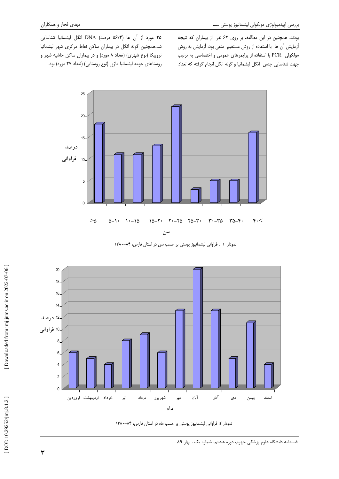بودند. همچنین در این مطالعه، بر روی ۶۲ نفر ً از بیماران که نتیجه أزمايش أن ها با استفاده از روش مستقيم منفي بود، أزمايش به روش مولکولی PCR با استفاده از پرایمرهای عمومی و اختصاصی به ترتیب جهت شناسایی جنس انگل لیشمانیا و گونه انگل انجام گرفته که تعداد

۳۵ مورد از آن ها (۵۶/۴ درصد) DNA انگل لیشمانیا شناسایی شد.همچنین گونه انگل در بیماران ساکن نقاط مرکزی شهر لیشمانیا تروپیکا (نوع شهری) (تعداد ۸ مورد) و در بیماران ساکن حاشیه شهر و روستاهای حومه لیشمانیا ماژور (نوع روستایی) (تعداد ۲۷ مورد) بود.



 $\mathbf{r}$  and  $\mathbf{r}$  and  $\mathbf{r}$  and  $\mathbf{r}$  and  $\mathbf{r}$  and  $\mathbf{r}$ نمودار ۱ : فراوانی لیشمانیوز پوستی بر حسب سن در استان فارس، ۸۴–۱۳۸۰



نمودار ۲: فراوانی لیشمانیوز پوستی بر حسب ماه در استان فارس، ۸۴–۱۳۸۰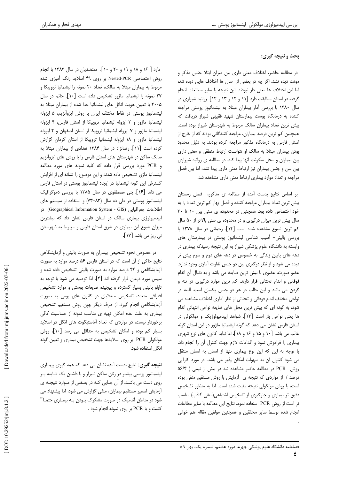## مهدی فخار و همکاران

# بحث و نتیجه گیری:

در مطالعه حاضر، اختلاف معنی داری بین میزان ابتلا جنس مذکر و مونث دیده نشد. اگر چه در بعضی از سال ها اختلاف هایی دیده شد، اما این اختلاف ها معنی دار نبودند. این نتیجه با سایر مطالعات انجام گرفته در استان مطابقت دارد [۱۱ و ۱۲ و ۱۳ و ۱۴]. روانبد شیرازی در سال ۱۳۸۰ با بررسی آمار بیماران مبتلا به لیشمانیوز پوستی مراجعه کننده به درمانگاه پوست بیمارستان شهید فقیهی شیراز دریافت که بیش ترین تعداد بیماران سالک مربوط به شهرستان شیراز بوده است. همچنین کم ترین درصد بیماران، مراجعه کنندگانی بودند که از خارج از استان فارس به درمانگاه مذکور مراجعه کرده بودند. به دلیل محدود بودن بیماران مبتلا به سالک او نتوانست ارتباط منطقی و معنی داری بین بیماران و محل سکونت آنها پیدا کند. در مطالعه ی روانبد شیرازی بین سن و جنس بیماران نیز ارتباط معنی داری پیدا نشد، اما بین فصل مراجعه و تعداد موارد بیماری ارتباط معنی داری مشاهده شد.

بر اساس نتايج بدست آمده از مطالعه ى مذكور، فصل زمستان بیش ترین تعداد بیماران مراجعه کننده و فصل بهار کم ترین تعداد را به خود اختصاص داده بود. همچنین در محدوده ی سنی بین ١٠ تا ٣٠ سال بیش ترین میزان درگیری و در محدوده ی سنی بالاتر از ۵۰ سال كم ترين شيوع مشاهده شده است [١۴]. رحماني در سال ١٣٧٨ با بررسی بالینی- آسیب شناسی لیشمانیوز پوستی در بیمارستان های وابسته به دانشگاه علوم پزشکی شیراز به این نتیجه رسیدکه بیماری در دهه های پایین زندگی به خصوص در دهه های دوم و سوم بیش تر دیده می شود و از نظر درگیری بین دو جنس تفاوت آماری وجود ندارد. عضو صورت، عضوى با بيش ترين ضايعه مي باشد و به دنبال أن اندام فوقانی و اندام تحتانی قرار دارند. کم ترین موارد درگیری در تنه و گردن می باشد و این حالت در هر دو جنس یکسان است. البته در نواحی مختلف اندام فوقانی و تحتانی از نظر آماری اختلاف مشاهده می شود، به گونه ای که بیش ترین محل های ضایعه نواحی انتهائی اندام ها يعني نواحي باز است [١٣]. شواهد اپيدميولوژيک و مولکولي در استان فارس نشان می دهد که گونه لیشمانیا ماژور در این استان گونه غالب می باشد [۱۰ و ۱۵ و ۱۶ و ۱۸]، اما نباید کانون های نوع شهری بيماري را فراموش نمود و اقدامات لازم جهت كنترل أن را انجام داد. با توجه به این که این نوع بیماری تنها از انسان به انسان منتقل می شود کنترل آن به سهولت امکان پذیر می باشد. در مورد کارآیی روش PCR در مطالعه حاضر مشاهده شد در بیش از نیمی ( ۵۶/۴ درصد) از مواردی که نتیجه ی آزمایش با روش مستقیم منفی بوده است، با روش مولكولى نتيجه مثبت شده است. لذا به منظور تشخيص دقیق تر بیماری و جلوگیری از تشخیص اشتباهی(منفی کاذب) مناسب تر است از روش PCR ستفاده نمود. نتايج اين مطالعه با ساير مطالعات انجام شده توسط سایر محققین و همچنین مولفین مقاله هم خوانی

دارد [ ۱۶ و ۱۸ و ۱۹ و ۲۰ و ۱۰]. معتضدیان در سال ۱۳۸۳ با انجام روش اختصاصی Nested-PCR بر روی ۴۹ اسلاید رنگ آمیزی شده مربوط به بیماران مبتلا به سالک، تعداد ۲۰ نمونه را لیشمانیا تروییکا و ٢٧ نمونه را ليشمانيا ماژور تشخيص داده است [١٠]. حاتم در سال ۲۰۰۵ با تعیین هویت انگل های لیشمانیا جدا شده از بیماران مبتلا به لیشمانیوز پوستی در نقاط مختلف ایران با روش ایزوآنزیم، ۵ ایزوله لیشمانیا ماژور و ۲ ایزوله لیشمانیا تروییکا از استان فارس، ۴ ایزوله لیشمانیا ماژور و ۷ ایزوله لیشمانیا تروپیکا از استان اصفهان و ۲ ایزوله لیشمانیا ماژور و ١٨ ایزوله لیشمانیا تروپیکا از استان کرمان گزارش کرده است [۱۱]. رضانژاد در سال ۱۳۸۴ تعدادی از بیماران مبتلا به سالک ساکن در شهرستان های استان فارس را با روش های ایزوآنزیم و PCR مورد بررسی قرار داده که کلیه نمونه های مورد مطالعه لیشمانیا ماژور تشخیص داده شدند و این موضوع را نشانه ای از افزایش گسترش این گونه لیشمانیا در ایجاد لیشمانیوز پوستی در استان فارس می داند [۱۶]. بنی مصطفوی در سال ۱۳۸۵ با بررسی دموگرافیک لیشمانیوز پوستی در طی ده سال (۸۳-۷۳) و استفاده از سیستم های اطلاعات جغرافيايي (Geographical Information System - GIS) در اپیدمیولوژی بیماری سالک در استان فارس نشان داد که بیشترین میزان شیوع این بیماری در شرق استان فارس و مربوط به شهرستان نی ریز می باشد [۱۷].

در خصوص نحوه تشخیص بیماران به صورت بالینی و آزمایشگاهی نتایج حاکی از آن است که در استان فارس ۵۶ درصد موارد به صورت آزمایشگاهی و ۴۴ درصد موارد به صورت بالینی تشخیص داده شده و سپس مورد درمان قرار گرفته اند [۴]، لذا توصیه می شود با توجه به تابلو بالینی بسیار گسترده و پیچیده ضایعات پوستی و موارد تشخیص افتراقی متعدد، تشخیص مبتلایان در کانون های بومی به صورت أزمايشگاهي انجام گيرد. از طرف ديگر چون روش مستقيم تشخيص بیماری به علت عدم امکان تهیه ی مناسب نمونه از حساسیت کافی برخوردار نیست، در مواردی که تعداد آماستیگوت های انگل در اسلاید بسیار کم بوده و امکان تشخیص به حداقل می رسد [۱۰]، روش مولکولی PCR بر روی اسلایدها جهت تشخیص بیماری و تعیین گونه انگل استفاده شود.

**نتيجه گيري**: نتايج بدست آمده نشان مي دهد كه همه گيري بيمـاري لیشمانیوز پوستی بیشتر در زنان ساکن شیراز و با داشتن یک ضایعه بـر روی دست می باشد. از آن جایی کـه در بعـضی از مـوارد نتیجـه ی أزمايش اسمير مستقيم بيماران، منفى گزارش مى شود، لذا پيشنهاد مى شود در مناطق آندمیک در صورت مشکوک بـودن بـه بیمـاری حتمـا" كشت و یا PCR بر روی نمونه انجام شود .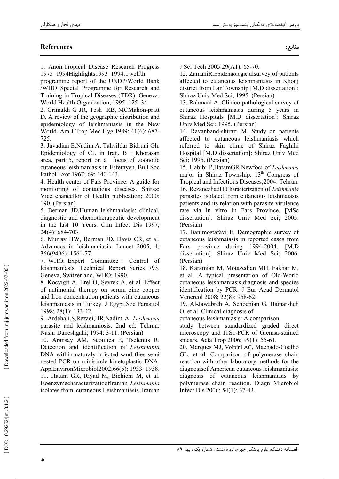منابع:

# **References**

1. Anon.Tropical Disease Research Progress 1975-1994Highlights1993-1994.Twelfth

programme report of the UNDP/World Bank /WHO Special Programme for Research and Training in Tropical Diseases (TDR). Geneva: World Health Organization, 1995: 125–34.

2. Grimaldi G JR, Tesh RB, MCMahon-pratt D. A review of the geographic distribution and epidemiology of leishmaniasis in the New World. Am J Trop Med Hyg 1989: 41(6): 687-725.

3. Javadian E, Nadim A, Tahvildar Bidruni Gh. Epidemiology of CL in Iran, B : Khorasan area, part 5, report on a focus of zoonotic cutaneous leishmaniasis in Esferayen. Bull Soc Pathol Exot 1967; 69: 140-143.

4. Health center of Fars Province. A guide for monitoring of contagious diseases. Shiraz: Vice chancellor of Health publication; 2000: 190. (Persian)

5. Berman JD.Human leishmaniasis: clinical. diagnostic and chemotherapeutic development in the last 10 Years. Clin Infect Dis 1997; 24(4): 684-703.

6. Murray HW, Berman JD, Davis CR, et al. Advances in leishmaniasis. Lancet 2005; 4; 366(9496): 1561-77.

7. WHO. Expert Committee : Control of leishmaniasis. Technical Report Series 793. Geneva, Switzerland. WHO; 1990.

8. Kocyigit A, Erel O, Seyrek A, et al. Effect of antimonial therapy on serum zine copper and Iron concentration patients with cutaneous leishmaniasis in Turkey. J Egypt Soc Parasitol 1998: 28(1): 133-42.

9. Ardehali.S, Rezaei, HR, Nadim A. Leishmania parasite and leishmaniosis. 2nd ed. Tehran: Nashr Daneshgahi; 1994: 3-11. (Persian)

10. Aransay AM, Scoulica E, Tselentis R. Detection and identification of Leishmania DNA within naturaly infected sand flies semi nested PCR on minicircle kinetoplastic DNA. ApplEnvironMicrobiol2002;66(5): 1933-1938. 11. Hatam GR, Riyad M, Bichichi M, et al. IsoenzymecharacterizatioofIranian Leishmania isolates from cutaneous Leishmaniasis. Iranian

J Sci Tech 2005:29(A1): 65-70.

12. ZamaniR. Epidemiologic alsurvey of patients affected to cutaneous leishmaniasis in Khonj district from Lar Township [M.D dissertation]: Shiraz Univ Med Sci; 1995. (Persian)

13. Rahmani A. Clinico-pathological survey of cutaneous leishmaniasis during 5 years in Shiraz Hospitals [M.D dissertation]: Shiraz Univ Med Sci; 1995. (Persian)

14. Ravanband-shirazi M. Study on patients affected to cutaneous leishmaniasis which referred to skin clinic of Shiraz Faghihi Hospital [M.D dissertation]: Shiraz Univ Med Sci; 1995. (Persian)

15. Habibi P,HatamGR.Newfoci of Leishmania major in Shiraz Township. 13<sup>th</sup> Congress of Tropical and Infectious Diseases; 2004: Tehran. 16. RezanezhadH.Characterization of Leishmania parasites isolated from cutaneous leishmaiasis patients and its relation with parasite virulence rate via in vitro in Fars Province. [MSc dissertation]: Shiraz Univ Med Sci; 2005. (Persian)

17. Banimostafavi E. Demographic survey of cutaneous leishmaiasis in reported cases from province during 1994-2004. Fars  $[M.D]$ dissertation]: Shiraz Univ Med Sci; 2006. (Persian)

18. Karamian M. Motazedian MH. Fakhar M. et al. A typical presentation of Old-World cutaneous leishmaniasis, diagnosis and species identification by PCR. J Eur Acad Dermatol Venereol 2008; 22(8): 958-62.

19. Al-Jawabreh A, Schoenian G, Hamarsheh O, et al. Clinical diagnosis of

cutaneous leishmaniasis: A comparison

study between standardized graded direct microscopy and ITS1-PCR of Giemsa-stained smears. Acta Trop 2006; 99(1): 55-61.

20. Marques MJ, Volpini AC, Machado-Coelho GL, et al. Comparison of polymerase chain reaction with other laboratory methods for the diagnosis of American cutaneous leishmaniasis: diagnosis of cutaneous leishmaniasis by polymerase chain reaction. Diagn Microbiol Infect Dis 2006; 54(1): 37-43.